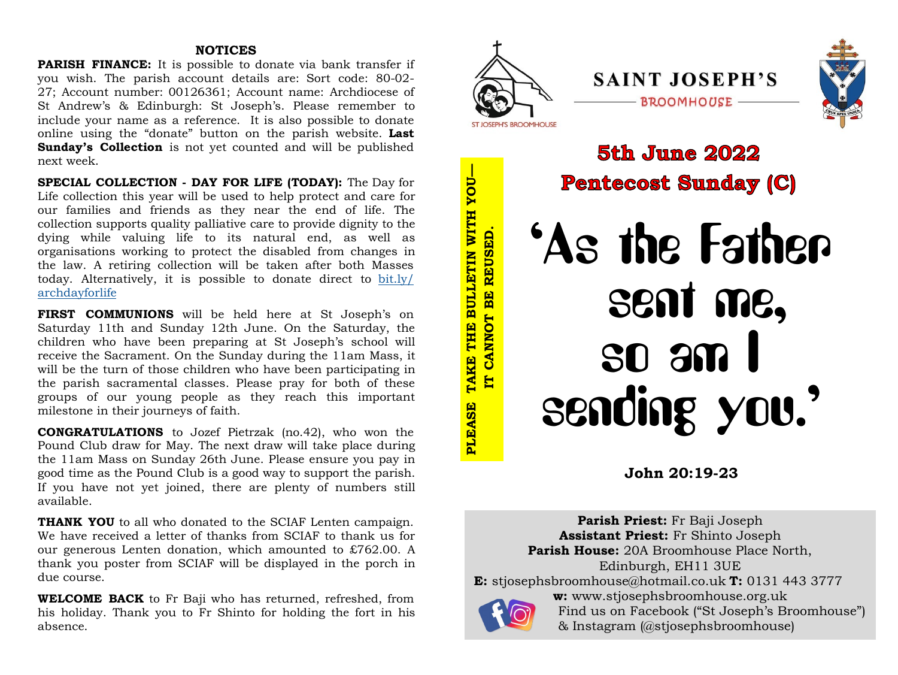# **NOTICES**

**PARISH FINANCE:** It is possible to donate via bank transfer if you wish. The parish account details are: Sort code: 80-02- 27; Account number: 00126361; Account name: Archdiocese of St Andrew's & Edinburgh: St Joseph's. Please remember to include your name as a reference. It is also possible to donate online using the "donate" button on the parish website. **Last Sunday's Collection** is not yet counted and will be published next week.

**SPECIAL COLLECTION - DAY FOR LIFE (TODAY):** The Day for Life collection this year will be used to help protect and care for our families and friends as they near the end of life. The collection supports quality palliative care to provide dignity to the dying while valuing life to its natural end, as well as organisations working to protect the disabled from changes in the law. A retiring collection will be taken after both Masses today. Alternatively, it is possible to donate direct to [bit.ly/](bit.ly/archdayforlife) [archdayforlife](bit.ly/archdayforlife)

**FIRST COMMUNIONS** will be held here at St Joseph's on Saturday 11th and Sunday 12th June. On the Saturday, the children who have been preparing at St Joseph's school will receive the Sacrament. On the Sunday during the 11am Mass, it will be the turn of those children who have been participating in the parish sacramental classes. Please pray for both of these groups of our young people as they reach this important milestone in their journeys of faith.

**CONGRATULATIONS** to Jozef Pietrzak (no.42), who won the Pound Club draw for May. The next draw will take place during the 11am Mass on Sunday 26th June. Please ensure you pay in good time as the Pound Club is a good way to support the parish. If you have not yet joined, there are plenty of numbers still available.

**THANK YOU** to all who donated to the SCIAF Lenten campaign. We have received a letter of thanks from SCIAF to thank us for our generous Lenten donation, which amounted to  $\text{\pounds}762.00$ . A thank you poster from SCIAF will be displayed in the porch in due course.

**WELCOME BACK** to Fr Baji who has returned, refreshed, from his holiday. Thank you to Fr Shinto for holding the fort in his absence.



**Parish Priest:** Fr Baji Joseph **Assistant Priest:** Fr Shinto Joseph **Parish House:** 20A Broomhouse Place North, Edinburgh, EH11 3UE **E:** stjosephsbroomhouse@hotmail.co.uk **T:** 0131 443 3777 **w:** www.stjosephsbroomhouse.org.uk Find us on Facebook ("St Joseph's Broomhouse") & Instagram (@stjosephsbroomhouse)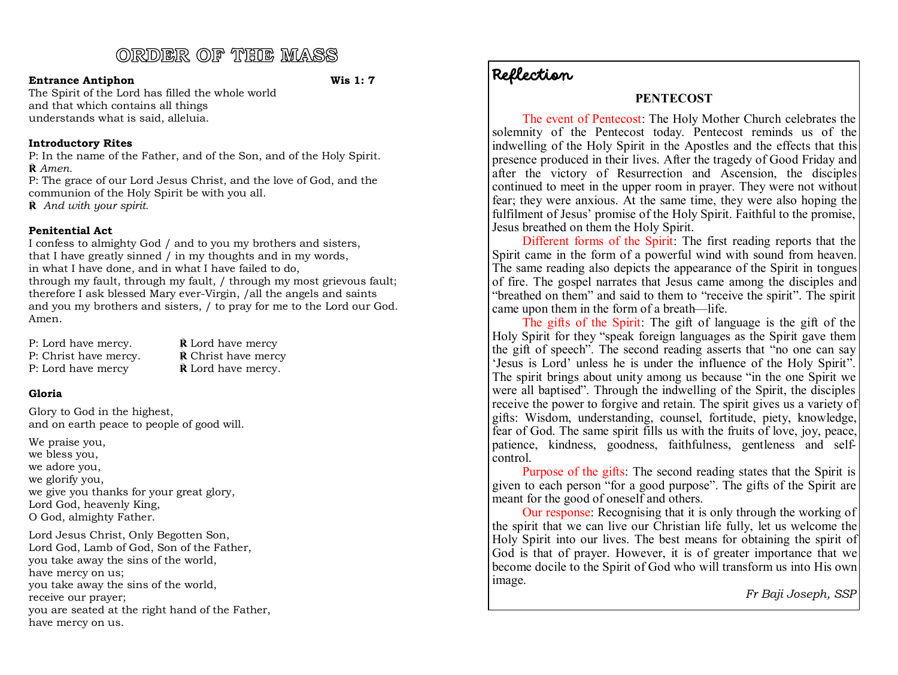# ORDER OF THE MASS

### **Entrance Antiphon Wis 1: 7**

The Spirit of the Lord has filled the whole world and that which contains all things understands what is said, alleluia.

# **Introductory Rites**

P: In the name of the Father, and of the Son, and of the Holy Spirit. **℟** *Amen.*

P: The grace of our Lord Jesus Christ, and the love of God, and the communion of the Holy Spirit be with you all. **℟** *And with your spirit.*

# **Penitential Act**

I confess to almighty God / and to you my brothers and sisters, that I have greatly sinned / in my thoughts and in my words, in what I have done, and in what I have failed to do, through my fault, through my fault, / through my most grievous fault; therefore I ask blessed Mary ever-Virgin, /all the angels and saints and you my brothers and sisters, / to pray for me to the Lord our God. Amen.

| P: Lord have mercy.   | $\dot{\mathbf{R}}$ Lord have mercy  |
|-----------------------|-------------------------------------|
| P: Christ have mercy. | <b>R</b> Christ have mercy          |
| P: Lord have mercy    | $\hat{\mathbf{R}}$ Lord have mercy. |

# **Gloria**

Glory to God in the highest, and on earth peace to people of good will.

We praise you, we bless you, we adore you, we glorify you, we give you thanks for your great glory, Lord God, heavenly King, O God, almighty Father.

Lord Jesus Christ, Only Begotten Son, Lord God, Lamb of God, Son of the Father, you take away the sins of the world, have mercy on us; you take away the sins of the world, receive our prayer; you are seated at the right hand of the Father, have mercy on us.

# Reflection

# **PENTECOST**

The event of Pentecost: The Holy Mother Church celebrates the solemnity of the Pentecost today. Pentecost reminds us of the indwelling of the Holy Spirit in the Apostles and the effects that this presence produced in their lives. After the tragedy of Good Friday and after the victory of Resurrection and Ascension, the disciples continued to meet in the upper room in prayer. They were not without fear; they were anxious. At the same time, they were also hoping the fulfilment of Jesus' promise of the Holy Spirit. Faithful to the promise, Jesus breathed on them the Holy Spirit.

Different forms of the Spirit: The first reading reports that the Spirit came in the form of a powerful wind with sound from heaven. The same reading also depicts the appearance of the Spirit in tongues of fire. The gospel narrates that Jesus came among the disciples and "breathed on them" and said to them to "receive the spirit". The spirit came upon them in the form of a breath—life.

The gifts of the Spirit: The gift of language is the gift of the Holy Spirit for they "speak foreign languages as the Spirit gave them the gift of speech". The second reading asserts that "no one can say 'Jesus is Lord' unless he is under the influence of the Holy Spirit". The spirit brings about unity among us because "in the one Spirit we were all baptised". Through the indwelling of the Spirit, the disciples receive the power to forgive and retain. The spirit gives us a variety of gifts: Wisdom, understanding, counsel, fortitude, piety, knowledge, fear of God. The same spirit fills us with the fruits of love, joy, peace, patience, kindness, goodness, faithfulness, gentleness and selfcontrol.

Purpose of the gifts: The second reading states that the Spirit is given to each person "for a good purpose". The gifts of the Spirit are meant for the good of oneself and others.

Our response: Recognising that it is only through the working of the spirit that we can live our Christian life fully, let us welcome the Holy Spirit into our lives. The best means for obtaining the spirit of God is that of prayer. However, it is of greater importance that we become docile to the Spirit of God who will transform us into His own image.

*Fr Baji Joseph, SSP*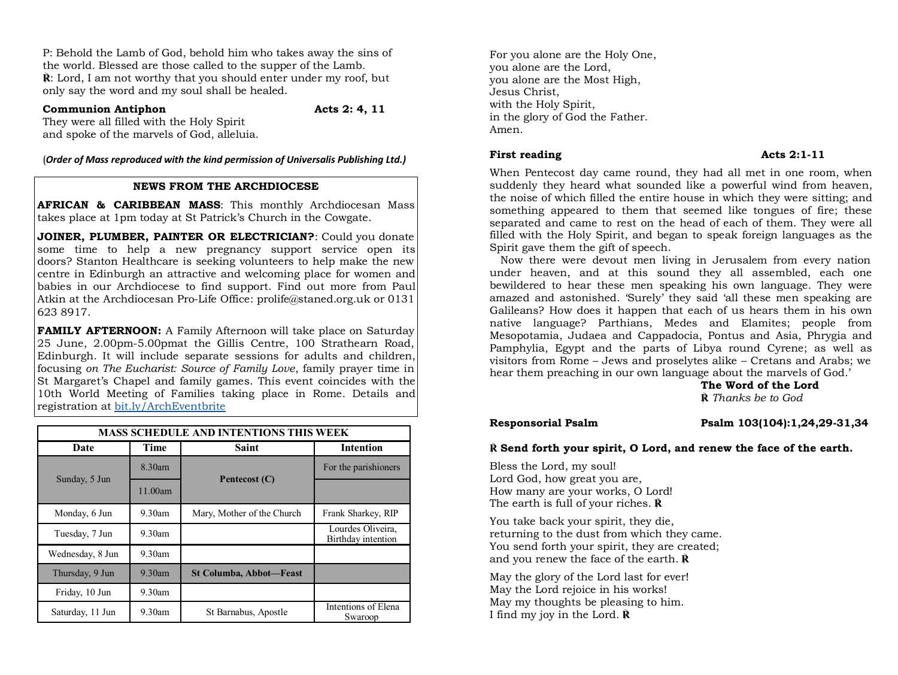P: Behold the Lamb of God, behold him who takes away the sins of the world. Blessed are those called to the supper of the Lamb.  $\hat{\mathbf{R}}$ **: Lord, I am not worthy that you should enter under my roof, but** only say the word and my soul shall be healed.

### **Communion Antiphon Acts 2: 4, 11**

They were all filled with the Holy Spirit and spoke of the marvels of God, alleluia.

(*Order of Mass reproduced with the kind permission of Universalis Publishing Ltd.)*

### **NEWS FROM THE ARCHDIOCESE**

**AFRICAN & CARIBBEAN MASS**: This monthly Archdiocesan Mass takes place at 1pm today at St Patrick's Church in the Cowgate.

**JOINER, PLUMBER, PAINTER OR ELECTRICIAN?**: Could you donate some time to help a new pregnancy support service open its doors? Stanton Healthcare is seeking volunteers to help make the new centre in Edinburgh an attractive and welcoming place for women and babies in our Archdiocese to find support. Find out more from Paul Atkin at the Archdiocesan Pro-Life Office: prolife@staned.org.uk or 0131 623 8917.

**FAMILY AFTERNOON:** A Family Afternoon will take place on Saturday 25 June, 2.00pm-5.00pmat the Gillis Centre, 100 Strathearn Road, Edinburgh. It will include separate sessions for adults and children, focusing *on The Eucharist: Source of Family Love*, family prayer time in St Margaret's Chapel and family games. This event coincides with the 10th World Meeting of Families taking place in Rome. Details and registration at <bit.ly/ArchEventbrite>

| <b>MASS SCHEDULE AND INTENTIONS THIS WEEK</b> |           |                                |                                         |
|-----------------------------------------------|-----------|--------------------------------|-----------------------------------------|
| Date                                          | Time      | <b>Saint</b>                   | <b>Intention</b>                        |
|                                               | 8.30am    | Pentecost (C)                  | For the parishioners                    |
| Sunday, 5 Jun                                 | 11.00am   |                                |                                         |
| Monday, 6 Jun                                 | $9.30$ am | Mary, Mother of the Church     | Frank Sharkey, RIP                      |
| Tuesday, 7 Jun                                | $9.30$ am |                                | Lourdes Oliveira,<br>Birthday intention |
| Wednesday, 8 Jun                              | $9.30$ am |                                |                                         |
| Thursday, 9 Jun                               | $9.30$ am | <b>St Columba, Abbot-Feast</b> |                                         |
| Friday, 10 Jun                                | 9.30am    |                                |                                         |
| Saturday, 11 Jun                              | $9.30$ am | St Barnabus, Apostle           | Intentions of Elena<br>Swaroop          |

For you alone are the Holy One, you alone are the Lord, you alone are the Most High, Jesus Christ, with the Holy Spirit, in the glory of God the Father. Amen.

### **First reading**  Acts 2:1-11

When Pentecost day came round, they had all met in one room, when suddenly they heard what sounded like a powerful wind from heaven, the noise of which filled the entire house in which they were sitting; and something appeared to them that seemed like tongues of fire; these separated and came to rest on the head of each of them. They were all filled with the Holy Spirit, and began to speak foreign languages as the Spirit gave them the gift of speech.

Now there were devout men living in Jerusalem from every nation under heaven, and at this sound they all assembled, each one bewildered to hear these men speaking his own language. They were amazed and astonished. 'Surely' they said 'all these men speaking are Galileans? How does it happen that each of us hears them in his own native language? Parthians, Medes and Elamites; people from Mesopotamia, Judaea and Cappadocia, Pontus and Asia, Phrygia and Pamphylia, Egypt and the parts of Libya round Cyrene; as well as visitors from Rome – Jews and proselytes alike – Cretans and Arabs; we hear them preaching in our own language about the marvels of God.'

**The Word of the Lord**

**℟** *Thanks be to God*

### **Responsorial Psalm Psalm 103(104):1,24,29-31,34**

### **℟ Send forth your spirit, O Lord, and renew the face of the earth.**

Bless the Lord, my soul! Lord God, how great you are, How many are your works, O Lord! The earth is full of your riches. **℟**

You take back your spirit, they die, returning to the dust from which they came. You send forth your spirit, they are created; and you renew the face of the earth. **℟**

May the glory of the Lord last for ever! May the Lord rejoice in his works! May my thoughts be pleasing to him. I find my joy in the Lord. **℟**